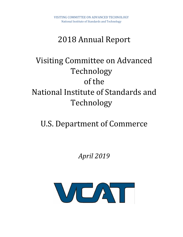# 2018 Annual Report

# Visiting Committee on Advanced Technology of the National Institute of Standards and Technology

# U.S. Department of Commerce

# *April 2019*

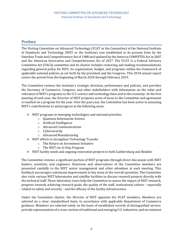# <span id="page-1-0"></span>**Preface**

The Visiting Committee on Advanced Technology (VCAT or the Committee) of the National Institute of Standards and Technology (NIST or the Institute) was established in its present form by the Omnibus Trade and Competitiveness Act of 1988 and updated by the America COMPETES Act in 2007 and the American Innovation and Competitiveness Act of 2017. The VCAT is a Federal Advisory Committee Act (FACA) committee and its charter includes reviewing and making recommendations regarding general policy for NIST, its organization, budget, and programs within the framework of applicable national policies as set forth by the president and the Congress. This 2018 annual report covers the period from the beginning of March 2018 through February 2019.

The Committee reviews the Institute's strategic direction, performance and policies, and provides the Secretary of Commerce, Congress, and other stakeholders with information on the value and relevance of NIST's programs to the U.S. science and technology base and to the economy. At the first meeting of each year, the Director of NIST proposes areas of focus to the Committee and agreement is reached on a program for the year. Over the past year, the Committee has been active in assessing NIST's contributions to and progress in the following areas:

- ➢ NIST programs in emerging technologies and national priorities
	- o Quantum Information Science
	- o Artificial Intelligence
	- o Advanced Communications
	- o Cybersecurity
	- o Advanced Manufacturing
- ➢ NIST efforts to strengthen Technology Transfer
	- o The Return on Investment Initiative
	- o The NIST-on-A-Chip Program
- $\triangleright$  NIST facility needs and ongoing renovation projects in both Gaithersburg and Boulder

The Committee reviews a significant portion of NIST programs through direct discussion with NIST leaders, scientists, and engineers. Reactions and observations of the Committee members are presented candidly to the NIST senior management and other attendees at each meeting. This feedback encourages continuous improvement in key areas in the overall operation. The Committee also visits various NIST laboratories and satellite facilities to discuss research projects directly with the technical staff. These laboratory tours help the Committee to assess the impact of NIST research, progress towards achieving research goals, the quality of the staff, institutional culture – especially related to safety and security - and the efficacy of the facility infrastructure.

Under the Committee charter, the Director of NIST appoints the VCAT members. Members are selected on a clear, standardized basis, in accordance with applicable Department of Commerce guidance. Members are selected solely on the basis of established records of distinguished service; provide representation of a cross-section of traditional and emerging U.S. industries; and are eminent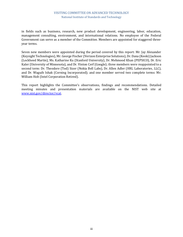#### VISITING COMMITTEE ON ADVANCED TECHNOLOGY National Institute of Standards and Technology

in fields such as business, research, new product development, engineering, labor, education, management consulting, environment, and international relations. No employee of the Federal Government can serve as a member of the Committee. Members are appointed for staggered threeyear terms.

Seven new members were appointed during the period covered by this report: Mr. Jay Alexander (Keysight Technologies), Mr. George Fischer (Verizon Enterprise Solutions), Dr. Dana (Keoki) Jackson (Lockheed Martin), Ms. Katharine Ku (Stanford University), Dr. Mehmood Khan (PEPSICO), Dr. Eric Kaler (University of Minnesota), and Dr. Vinton Cerf (Google); three members were reappointed to a second term: Dr. Theodore (Tod) Sizer (Nokia Bell Labs), Dr. Allen Adler (HRL Laboratories, LLC), and Dr. Waguih Ishak (Corning Incorporated); and one member served two complete terms: Mr. William Holt (Intel Corporation Retired).

This report highlights the Committee's observations, findings and recommendations. Detailed meeting minutes and presentation materials are available on the NIST web site at [www.nist.gov/director/vcat.](http://www.nist.gov/director/vcat)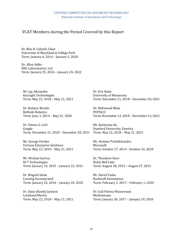# VCAT Members during the Period Covered by this Report

Dr. Rita R. Colwell, Chair University of Maryland at College Park Term: January 6, 2014 – January 5, 2020

Dr. Allen Adler HRL Laboratories, LLC Term: January 25, 2016 – January 24, 2022

Mr. Jay Alexander Keysight Technologies Term: May 22, 2018 – May 21, 2021

Dr. Rodney Brooks Rethink Robotics Term: June 1, 2014 – May 31, 2020

Dr. Vinton G. Cerf Google Term: December 21, 2018 – December 20, 2021

Mr. George Fischer Verizon Enterprise Solutions Term: May 22, 2018 – May 21, 2021

Mr. Michael Garvey M-7 Technologies Term: January 23, 2015 – January 22, 2021

Dr. Waguih Ishak Corning Incorporated Term: January 25, 2016 – January 24, 2022

Dr. Dana (Keoki) Jackson Lockheed Martin Term: May 22, 2018 – May 21, 2021 Dr. Eric Kaler University of Minnesota Term: December 21, 2018 – December 20, 2021

Dr. Mehmood Khan PEPSICO Term: November 13, 2018 – November 12, 2021

Ms. Katharine Ku Stanford University, Emerita Term: May 22, 2018 – May 21, 2021

Ms. Hemma Prafullchandra **Microsoft** Term: October 27, 2014 - October 26, 2020

Dr. Theodore Sizer Nokia Bell Labs Term: August 28, 2015 – August 27, 2021

Mr. David Vasko Rockwell Automation Term: February 2, 2017 – February 1, 2020

Dr. Gail Folena-Wasserman MedImmune Term: January 30, 2017 – January 29, 2020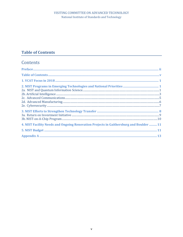# <span id="page-4-0"></span>**Table of Contents**

# Contents

| 4. NIST Facility Needs and Ongoing Renovation Projects in Gaithersburg and Boulder  11 |
|----------------------------------------------------------------------------------------|
|                                                                                        |
|                                                                                        |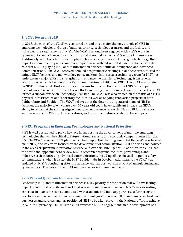# <span id="page-5-0"></span>**1. VCAT Focus in 2018**

In 2018, the work of the VCAT was centered around three major themes, the role of NIST in emerging technologies and area of national priority, technology transfer, and the facility and infrastructure requirements of NIST. The VCAT has long been engaged with NIST's work in cybersecurity and advanced manufacturing and were updated on NIST's efforts in these areas. Additionally, with the administration placing high-priority on areas of emerging technology that impact national security and economic competitiveness the VCAT felt it essential to focus on the role that NIST is playing in Quantum Information Science, Artificial Intelligence, and Advanced Communications. The VCAT received detailed programmatic briefings in all these areas, toured the unique NIST facilities and met with key policy makers. In the area of technology transfer NIST has undertaken a major effort to strengthen and enhance the transfer of technology from federal laboratories, which is known as the Return on Investment Initiative (ROI). The VCAT was briefed on NIST's ROI-related efforts as well as programs to improve the transfer of NIST-developed technologies. To continue to track these efforts and bring in additional relevant expertise the VCAT formed a subcommittee on Technology Transfer. The VCAT was also briefed on the status of NIST's physical infrastructure and laboratory facilities, as well as ongoing renovation projects in both Gaithersburg and Boulder. The VCAT believes that the deteriorating state of many of NIST's facilities, the majority of which are over 50 years old could have significant impacts on NIST's ability to remain at the cutting edge of measurement science research. This 2018 Annual report summarizes the VCAT's work, observations, and recommendations related to these topics.

# <span id="page-5-1"></span>**2. NIST Programs in Emerging Technologies and National Priorities**

NIST is well positioned to play a key role in supporting the advancement of multiple emerging technologies that will be critical to future national security and economic competitiveness for the U.S. The VCAT reviewed NIST plans, which build upon the planning work that the VCAT was briefed on in 2017, and its efforts focused on the development of administration R&D priorities and policies in the areas of Quantum Information Science, and Artificial Intelligence. In addition, the VCAT had the first-hand opportunity to review NIST's research programs, facilities, partnerships, and industry services targeting advanced communications, including efforts focused on public safety communications when it visited the NIST Boulder labs in October. Additionally, the VCAT was updated on NIST's continuing efforts to advance and support work in advanced manufacturing and cybersecurity. The work of the VCAT on these issues is summarized below.

# <span id="page-5-2"></span>**2a. NIST and Quantum Information Science**

Leadership in Quantum Information Science is a key priority for the nation that will have lasting impact on national security and our long-term economic competitiveness. NIST's world-leading expertise in quantum science, conducted with academic and industry partners, is furthering the development of new quantum measurement technologies upon which U.S. companies can build new businesses and services and has positioned NIST to be a key player in the National effort to achieve "quantum supremacy". In 2018 the VCAT reviewed NIST's engagements in the development of a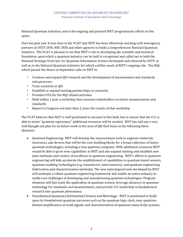#### VISITING COMMITTEE ON ADVANCED TECHNOLOGY National Institute of Standards and Technology

National Quantum Initiative, and in the ongoing and planned NIST programmatic efforts in this space.

Over the past year it was clear to the VCAT that NIST has been effectively working with interagency partners in OSTP, DOE, NSF, DOD and other agencies to build a comprehensive National Quantum Initiative. The VCAT is pleased to see that NIST's role in developing the scientific and technical foundation upon which a quantum industry can be built is recognized and called out in both the National Strategic Overview for Quantum Information Science developed and released by OSTP, as well as in the National Quantum Initiative Act which codifies much of NIST's ongoing role. The NQI, which passed the House in September calls on NIST to:

- Continue and expand QIS research and the development of measurement and standards infrastructure
- Train scientists in QIS
- Establish or expand existing partnerships or consortia
- Provides OTA for the NQI related activities
- Hold within 1 year a workshop that convenes stakeholders on future measurements and standards
- Report to Congress not later than 2 years the results of that workshop

The VCAT believes that NIST is well positioned to succeed in this field, but to ensure that the U.S. is able to attain "quantum supremacy" additional resources will be needed. NIST has laid out a very well thought out plan for its future work in the area of QIS that focus on the following three elements:

- Quantum Engineering: NIST will develop the measurement tools to engineer materials, structures, and devices that will be the core building blocks for a broad collection of future quantum technologies, including a true quantum computer. With additional resources NIST would be able to grow new capabilities at NIST and also expand existing and establish new joint institutes and centers of excellence in quantum engineering. NIST's efforts in quantum engineering will help accelerate the establishment of capabilities in quantum-based sensors, quantum enabling technologies (e.g. transducers, interconnects), and quantum engineering (fabrication and characterization methods). The new metrological tools developed by NIST will underpin a robust quantum engineering framework and enable an entire industry to tackle core challenges of developing and manufacturing quantum technologies. Program elements will fast-track the application of quantum science, leverage advances in quantum technology for standards and measurements, and provide U.S. leadership in fundamental research into quantum phenomena.
- Foundational Quantum (Information) Science and Metrology: NIST is positioned to build upon its foundational quantum successes such as the quantum logic clock, near quantumlimited amplification of weak signals, and characterization of quantum many-body systems,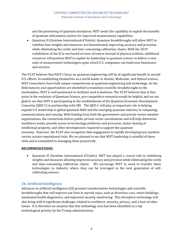and the pioneering of quantum simulation. NIST needs the capability to exploit the benefits of quantum information science for improved measurement capabilities.

• Quantum SI (Système International d'Unités): Quantum breakthroughs will allow NIST to redefine how weights and measures are disseminated, improving accuracy and precision while eliminating the costly and time-consuming calibration chains. With the 2019 redefinition of the SI to one based on laws of nature instead of physical artifacts, additional resources will position NIST to exploit its leadership in quantum science to deliver a new suite of measurement technologies upon which U.S. companies can build new businesses and services.

The VCAT believes that NIST's focus on quantum engineering will be of significant benefit to overall U.S. efforts. In establishing themselves as a world leader in Atomic, Molecular, and Optical science, NIST researchers have built unique competencies in quantum engineering and technology. As the field matures and opportunities are identified to transition scientific breakthroughs to the marketplace, NIST is well positioned to facilitate such transitions. The VCAT believes that at this point in the evolution of Quantum Science, pre-competitive consortia would be helpful, and we are glad to see that NIST is participating in the establishment of the Quantum Economic Development Consortia (QED-C) in partnership with SRI. The QED-C will play an important role in helping expand U.S. leadership in global quantum R&D and the emerging quantum industry in computing, communications and sensing. With funding from both the government and private-sector member organizations, the consortium fosters public-private sector coordination and will help determine workforce needs, provide access to technology platforms and processes, foster sharing of intellectual property, and other developments required to support the quantum economy. However, the VCAT also recognizes that engagement in rapidly developing new markets carries certain reputational risks. We are pleased to see that NIST leadership is mindful of these risks and is committed to managing them proactively.

#### *RECOMMENDATIONS:*

• Quantum SI (Système International d'Unités): NIST has played a crucial role in redefining weights and measures allowing improved accuracy and precision while eliminating the costly and time-consuming calibration chains. We encourage NIST to work to transfer these technologies to industry where they can be leveraged in the next generation of selfcalibrating sensors.

# <span id="page-7-0"></span>**2b. Artificial Intelligence**

Advances in artificial intelligence (AI) promise transformative technologies and scientific breakthroughs that will improve our lives in myriad ways, such as driverless cars, smart buildings, automated health diagnostics, and improved security monitoring. This disruptive technology will also bring with it significant challenges related to workforce, security, privacy, and a host of other issues. It is therefore no surprise that this technology area has been identified as a top technological priority by the Trump administration.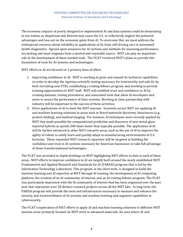The economic impacts of poorly designed or implemented AI and data systems could be devastating to our nation, as skepticism and distrust may cause the U.S. to collectively neglect the potential advantages and lose out on the economic gains from AI. To overcome this, we must address the widespread concerns about reliability in applications of AI, from self-driving cars to automated health diagnostics. Agreed upon measures for AI systems and methods for assessing performance are lacking and must originate from a neutral and reputable source. NIST can play an important role in the development of these needed tools. The VCAT reviewed NIST's plans to provide this foundation of trust for AI systems and technologies.

NIST efforts in AI are focused on 2 primary lines of effort:

- 1. Improving confidence in AI: NIST is working to grow and expand its technical capabilities in order to develop the rigorous scientific testing necessary for trustworthy and safe AI, by both recruiting new FTEs, establishing a visiting fellows program, and working to provide training opportunities to NIST staff. NIST will establish trust and confidence in AI by creating datasets, testing procedures, and associated tools that allow AI developers and users to assess the performance of their systems. Working in close partnership with industry will be important to the success of these activities.
- 2. Drive applications of AI to meet the NIST mission: Scientists across NIST are applying AI and machine learning solutions in areas such as Novel materials discovery, biosciences (e.g. protein folding), and medical imaging. For instance, AI techniques were recently applied by NIST that made possible the computational prediction and discovery of new metal-glass material hybrids at speeds 200 times faster than typically possible. The application of AI will be further advanced in other NIST research areas, such as the use of AI to improve the agility of robots to safely learn and quickly adapt to manufacturing environments in U.S. factories. These expanded NIST research capacities will be targeted at building the confidence and trust in AI systems necessary for American businesses to take full advantage of these transformational technologies.

The VCAT was provided in-depth briefings on NIST highlighting NIST efforts to date in each of these areas. NIST efforts to improve confidence in AI are largely built around the newly established NIST Fundamental and Applied Research and Standards for AI (FARSAI) program that is led by the Information Technology Laboratory. This program, in the short term, is designed to build the machine learning and AI expertise at NIST through AI training, the development of AI computing platform, the creation of an AI community of interest, and an AI visiting fellows program. The VCAT was particularly impressed with the AI community of interest that has been organized over the past year that represents over 50 distinct research projects across all the NIST labs. In long term, the FARSAI program will provide the tools and infrastructure necessary to measure and enhance the security and trustworthiness of AI systems and machine learning and augment capabilities in cybersecurity.

The VCAT's exploration of NIST efforts to apply AI and machine learning solutions to different NIST mission areas primarily focused on NIST work in advanced materials. An area where AI and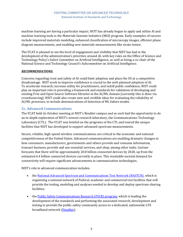machine learning are having a particular impact, NIST has already begun to apply and utilize AI and machine learning tools is the Materials Genome Initiative (MGI) program. Early examples of success include improved materials modeling, enhanced classification of microscopy images, efficient phase diagram measurements, and enabling new materials measurements like strain tensor.

The VCAT is pleased to see the level of engagement and visibility that NIST has had in the development of the administration's priorities around AI, with key roles on the Office of Science and Technology Policy's Select Committee on Artificial Intelligence, as well as being a co-chair of the National Science and Technology Council's Subcommittee on Artificial Intelligence.

#### *RECOMMENDATIONS:*

Concerns regarding trust and safety of AI could limit adoption and place the US at a competitive disadvantage. NIST work to improve confidence is crucial to the well-planned adoption of AI. To accelerate research, increase utility for practitioners, and instill public confidence, NIST could play an important role in providing a framework and standards for validation of developing and existing Free and Open Source Software libraries in the AI/ML domain (currently this is done via crowdsourcing). NIST could also create new and credible ideas for evaluating the reliability of AI/ML processes, to include demonstrations of detection of ML failure modes.

### <span id="page-9-0"></span>**2c. Advanced Communications**

The VCAT held its October meeting at NIST's Boulder campus and as such had the opportunity to do an in-depth exploration of NIST's newest research laboratory, the Communications Technology Laboratory (CTL). The VCAT was briefed on the programs of the CTL and toured the unique facilities that NIST has developed to support advanced spectrum measurements.

Secure, reliable, high-speed wireless communications are critical to the economic and national competitiveness of the United States. Advanced communications are enabling dramatic changes in how consumers, manufacturers, governments and others provide and consume information, transact business, provide and use essential services, and shop, among other tasks. Gartner forecasts that there will be approximately 20.8 billion connected devices by 2020, up from the estimated 6.4 billion connected devices currently in place. This insatiable societal demand for connectivity will require significant advancements in communication technologies.

NIST's role in advanced communication includes:

- the [National Advanced Spectrum and Communications Test Network \(NASTCN\),](https://www.nist.gov/ctl/national-advanced-spectrum-and-communications-test-network-nasctn) which is organizing a national network of Federal, academic and commercial test facilities that will provide the testing, modeling and analyses needed to develop and deploy spectrum-sharing facilities;
- the [Public Safety Communications Research \(PSCR\) program,](https://www.nist.gov/ctl/pscr) which is leading the development of the standards and performing the associated research, development and testing to provide the public safety community access to a dedicated, nationwide LTE broadband network [\(FirstNet\)](http://www.firstnet.gov/);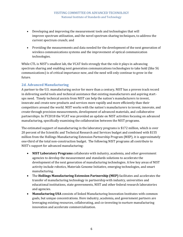- Developing and improving the measurement tools and technologies that will improve spectrum utilization, and the novel spectrum sharing techniques, to address the current spectrum crunch; and
- Providing the measurements and data needed for the development of the next generation of wireless communications systems and the improvement of optical communication technologies.

While CTL is NIST's smallest lab, the VCAT feels strongly that the role it plays in advancing spectrum sharing and enabling next generation communications technologies to take hold (like 5G communications) is of critical importance now, and the need will only continue to grow in the future.

### <span id="page-10-0"></span>**2d. Advanced Manufacturing**

A partner to the U.S. manufacturing sector for more than a century, NIST has a proven track record in delivering useful tools and technical assistance that existing manufacturers and aspiring startups need. Timely technical assists from NIST can help the nation's manufacturers to invent, innovate and create new products and services more rapidly and more efficiently than their competitors around the world. NIST works with the nation's manufacturers to invent, innovate, and create through precision measurements, development of advanced materials, and collaborative partnerships. In FY2018 the VCAT was provided an update on NIST activities focusing on advanced manufacturing, specifically examining the collaboration between the NIST programs.

The estimated support of manufacturing in the laboratory programs is \$172 million, which is over 20 percent of the Scientific and Technical Research and Services budget and combined with \$155 million from the Hollings Manufacturing Extension Partnership Program (MEP), it is approximately one-third of the total non-construction budget. The following NIST programs all contribute to NIST's support for advanced manufacturing:

- **NIST Laboratory Programs** collaborate with industry, academia, and other government agencies to develop the measurement and standards solutions to accelerate the development of the next generation of manufacturing technologies. A few key areas of NIST activity include robotics, Materials Genome Initiative, emerging technologies, and smart manufacturing.
- The **Hollings Manufacturing Extension Partnership (MEP)** facilitates and accelerates the transfer of manufacturing technology in partnership with industry, universities and educational institutions, state governments, NIST and other federal research laboratories and agencies.
- **Manufacturing USA** consists of linked Manufacturing Innovation Institutes with common goals, but unique concentrations. Here industry, academia, and government partners are leveraging existing resources, collaborating, and co-investing to nurture manufacturing innovation and accelerate commercialization.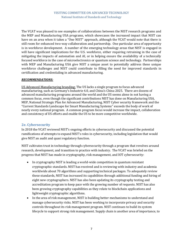The VCAT was pleased to see examples of collaborations between the NIST research programs and the MEP and Manufacturing USA programs, which showcases the increased impact that NIST can have on an area when it takes a "One NIST" approach, although the VCAT would note that there is still room for enhanced two-way collaboration and partnership. One particular area of opportunity is in workforce development. A number of the emerging technology areas that NIST is engaged in will have significant implications for the U.S. workforce, either requiring retraining in the case of mitigating the impacts of automation and AI, or in helping ensure the availability of a technically focused workforce in the case of microelectronics or quantum science and technology. Partnerships with MEP and Manufacturing USA give NIST a unique asset to potentially address these unique workforce challenges and NIST could contribute to filling the need for improved standards in certification and credentialing in advanced manufacturing.

#### *RECOMMENDATIONS:*

US Advanced Manufacturing branding: The US lacks a single program to focus advanced manufacturing, such as Germany's Industrie 4.0, and China's China 2025. There are dozens of advanced manufacturing programs around the world and the US seems alone in not having a common focus, even though the significant contributions NIST has done on Manufacturing USA, MEP, National Strategic Plan for Advanced Manufacturing, NIST Cyber security framework and the "Current Standards Landscape for Smart Manufacturing Systems" exceeds the body of work of nearly every national program. A common program focus would increase the impact, collaboration and consistency of US efforts and enable the US to be more competitive worldwide.

#### <span id="page-11-0"></span>**2e. Cybersecurity**

In 2018 the VCAT reviewed NIST's ongoing efforts in cybersecurity and discussed the potential ramifications of attempts to expand NIST's roles in cybersecurity, including legislation that would give NIST an audit and quasi regulatory function.

NIST cultivates trust in technology through cybersecurity through a program that revolves around research, development, and transition to practice with industry. The VCAT was briefed on the progress that NIST has made in cryptography, risk management, and IOT cybersecurity:

- In cryptography NIST is leading a world-wide competition in quantum resistant cryptographic standards. NIST has received and is reviewing with industry and academia worldwide about 70 algorithms and supporting technical packages. To adequately review these standards, NIST has increased its capabilities through additional funding and hiring of eight new cryptographers. NIST has also been updating its cryptography testing and accreditation program to keep pace with the growing number of requests. NIST has also been growing cryptography capabilities as they relate to blockchain applications and lightweight cryptographic algorithms.
- In the area of risk management, NIST is building better mechanisms to understand and manage cybersecurity risks. NIST has been working to incorporate privacy and security controls throughout its risk management program. NIST continues to build its system lifecycle to support strong risk management. Supply chain is another area of importance, to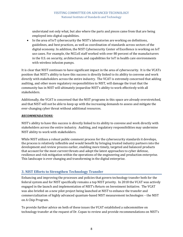understand not only what, but also where the parts and pieces came from that are being employed into digital capabilities.

• In the area of IoT cybersecurity the NIST's laboratories are working on definitions, guidelines, and best practices, as well as coordination of standards across sectors of the digital economy. In addition, the NIST Cybersecurity Center of Excellence is working on IoT use cases. For example, the NCCoE staff worked with over 80 percent of the manufacturers in the U.S. on security, architectures, and capabilities for IoT in health care environments with wireless infusion pumps.

It is clear that NIST continues to have significant impact in the area of cybersecurity. It is the VCATs position that NIST's ability to have this success is directly linked to its ability to convene and work directly with stakeholders across the entire industry. The VCAT is extremely concerned that adding auditing, and other more regulatory responsibilities to NIST, will damage the trust that the community has in NIST will ultimately jeopardize NIST's ability to work effectively with all stakeholders.

Additionally, the VCAT is concerned that the NIST programs in this space are already overstretched, and that NIST will not be able to keep up with the increasing demands to assess and mitigate the ever-changing cyber threat without additional resources.

#### *RECOMMENDATIONS:*

NIST's ability to have this success is directly linked to its ability to convene and work directly with stakeholders across the entire industry. Auditing, and regulatory responsibilities may undermine NIST ability to work with stakeholders.

While NIST utilizes a robust public comment process for the cybersecurity standards it develops, the process is relatively inflexible and would benefit by bringing trusted industry partners into the development and review process earlier, enabling more timely, targeted and balanced products that account for the most current threats and adopt the latest approaches to cyber defense, resilience and risk mitigation within the operations of the engineering and production enterprise. This landscape is ever changing and transforming in the digital enterprise.

# <span id="page-12-0"></span>**3. NIST Efforts to Strengthen Technology Transfer**

Enhancing and improving the processes and policies that govern technology transfer both for the federal system and for NIST specifically remains a top NIST priority. In 2018 the VCAT was actively engaged in the launch and implementation of NIST's Return on Investment Initiative. The VCAT was also briefed on a new pilot project being launched at NIST to enhance the transfer and commercialization of highly advanced quantum-based NIST measurement technologies – the NIST on A Chip Program.

To provide further advice on both of these issues the VCAT established a subcommittee on technology transfer at the request of Dr. Copan to review and provide recommendations on NIST's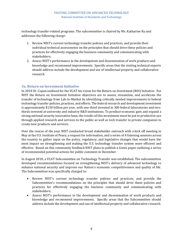technology transfer-related programs. The subcommittee is chaired by Ms. Katharine Ku and addresses the following charge:

- 1. Review NIST's current technology transfer policies and practices, and provide their individual technical assessments on the principles that should drive these policies and practices for effectively engaging the business community and communicating with stakeholders;
- 2. Assess NIST's performance in the development and dissemination of work products and knowledge and recommend improvements. Specific areas that the visiting technical experts should address include the development and use of intellectual property and collaborative research.

# <span id="page-13-0"></span>**3a. Return on Investment Initiative**

In 2018 Dr. Copan outlined for the VCAT his vision for the Return on Investment (ROI) Initiative. For NIST the Return on Investment Initiative objectives are to assess, streamline, and accelerate the transfer of technology from Lab-to-Market by identifying critically needed improvements to federal technology transfer policies, practices, and efforts. The federal research and development investment is approximately \$150 billion per year, with one-third invested in 300 federal laboratories and twothirds invested at university and industry R&D institutions. To produce economic gain and expand a strong national security innovation base, the results of this investment must be put to productive use through applied research and services to the public as well as tech transfer to private companies to create new products and services.

Over the course of the year NIST conducted broad stakeholder outreach with a kick off meeting in May at the U.S. Institute of Peace, a request for information, and a series of 4 listening sessions across the country to gather input on the policy, regulatory, and legislative changes that would have the most impact on strengthening and making the U.S. technology transfer system more efficient and effective. Based on this community feedback NIST plans to publish a Green paper outlining a series of recommended potential actions for public comment in December.

In August 2018, a VCAT Subcommittee on Technology Transfer was established. The subcommittee developed recommendations focused on strengthening NIST's delivery of advanced technology to enhance national security and improve our Nation's economic competitiveness and quality of life. The Subcommittee was specifically charged to:

- Review NIST's current technology transfer policies and practices, and provide the Subcommittee's recommendations on the principles that should drive these policies and practices for effectively engaging the business community and communicating with stakeholders;
- Assess NIST's performance in the development and dissemination of work products and knowledge and recommend improvements. Specific areas that the Subcommittee should address include the development and use of intellectual property and collaborative research.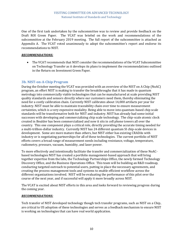<span id="page-14-1"></span>One of the first task undertaken by the subcommittee was to review and provide feedback on the Draft ROI Green Paper. The VCAT was briefed on the work and recommendations of the subcommittee at the February 2019 meeting. The full report of the subcommittee is attached as Appendix A. The VCAT voted unanimously to adopt the subcommittee's report and endorse its recommendations to NIST.

#### *RECOMMENDATIONS:*

• The VCAT recommends that NIST consider the recommendations of the VCAT Subcommittee on Technology Transfer as it develops its plans to implement the recommendations outlined in the Return on Investment Green Paper.

#### <span id="page-14-0"></span>**3b. NIST-on-A-Chip Program**

During the October meeting the VCAT was provided with an overview of the NIST on A Chip (NoAC) program, an effort NIST is making to transfer the breakthroughs that it has made in quantum metrology into commercially viable technologies that can be manufactured at scale providing NIST quality standards and sensors directly where our customers need them, thereby eliminating the need for a costly calibration chain. Currently NIST calibrates about 14,000 artifacts per year for industry. NIST must be able to maintain traceability chain over time to ensure measurement certainties, which is a very expensive modality. Being able to move into quantum-based chip scale standards will be transformative both for NIST and industry. NIST has already had some initial successes with developing and commercializing chip scale technology. The chip-scale atomic clock created in Boulder has been commercialized and now it sits in cell phone towers all over the country. This one component plays a critical role, directly providing the accurate timing needed for a multi-trillion-dollar industry. Currently NIST has 24 different quantum SI chip-scale devices in development. Some are more mature than others, but NIST either has existing CRADAs with industry or is negotiating partnerships for all of these technologies. The current portfolio of NIST efforts covers a broad range of measurement needs including resistance, voltage, temperature, radiometry, pressure, vacuum, humidity, and laser power.

To more effectively and intentionally facilitate the transfer and commercialization of these NoACbased technologies NIST has created a portfolio management-based approach that will bring together expertise from the labs, the Technology Partnerships Office, the newly formed Technology Discovery Office, and the Business Operations Office. This team will be building an R&D roadmap, conducting targeted outreach to potential users, putting in place the necessary agreements, and creating the process management tools and systems to enable efficient workflow across the different organizations involved. NIST will be evaluating the performance of this pilot over the course of the next year, and if successful will apply it more broadly across NIST.

The VCAT is excited about NIST efforts in this area and looks forward to reviewing progress during the coming year.

#### *RECOMMENDATIONS:*

Tech transfer of NIST developed technology though tech transfer programs, such as NIST on a Chip, are critical to US adoption of these technologies and serves as a feedback mechanism to ensure NIST is working on technologies that can have real world application.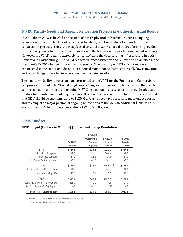#### **4. NIST Facility Needs and Ongoing Renovation Projects in Gaithersburg and Boulder**

In 2018 the VCAT was briefed on the state of NIST's physical infrastructure, NIST's ongoing renovation projects in both Boulder and Gaithersburg, and the master site plans for future construction projects. The VCAT was pleased to see that 2018 enacted budget for NIST provided the necessary funds to complete the renovation of the Radiation Physics building in Gaithersburg. However, the VCAT remains extremely concerned with the deteriorating infrastructure in both Boulder and Gaithersburg. The \$40M requested for construction and renovation of facilities in the President's FY 2019 budget is woefully inadequate. The majority of NIST's facilities were constructed in the sixties and decades of deferred maintenance due to chronically low renovation and repair budgets have led to accelerated facility deterioration.

The long-term facility renovation plans presented to the VCAT for the Boulder and Gaithersburg campuses are sound. The VCAT strongly urges Congress to provide funding at a level that can both support substantial progress in ongoing NIST Construction projects as well as provide adequate funding for maintenance and major repairs. Based on the current facility footprint it is estimated that NIST should be spending close to \$120 M a year to keep up with facility maintenance costs., and to complete a major portion of ongoing renovations in Boulder, an additional \$69M in FY2019 would allow NIST to complete renovation of Wing 5 in Boulder.

#### <span id="page-15-0"></span>**5. NIST Budget**

|                                  | <b>FY 2018</b><br>Enacted | <b>FY 2019</b><br>President's<br><b>Budget</b><br><b>Request</b> | <b>FY 2019</b><br>House<br>Mark | FY 2019<br>Senate<br>Mark |
|----------------------------------|---------------------------|------------------------------------------------------------------|---------------------------------|---------------------------|
| <b>STRS</b>                      | \$724.5                   | \$573.4                                                          | \$720.0                         | \$724.5                   |
| Laboratory Programs              | 628.0                     | 516.6                                                            | 647.7                           | 628.0                     |
| Corporate Services               | 17.3                      | 11.6                                                             | 17.3                            | 17.3                      |
| Stds Coord & Special Pgms        | $79.2$ *                  | 45.2                                                             | 55.0                            | 79.2                      |
| <b>ITS</b>                       | \$155.0                   | \$15.1                                                           | **<br>\$145.0                   | \$155.0                   |
| Hollings Mfg Ext Partnership     | 140.0                     | 0.0                                                              | 140.0                           | 140.0                     |
| Manufacturing USA                | 15.0                      | 15.1                                                             | 5.0                             | 15.0                      |
| <b>CRF</b>                       | \$319.0                   | \$40.5                                                           | \$120.0                         | \$158.0                   |
| Construc & Major Renovations     | 255.0                     | 0.0                                                              | <b>TBD</b>                      | 94.0                      |
| Saf, Cap, Maint & Maj Repairs    | 64.0                      | 40.5                                                             | <b>TBD</b>                      | 64.0                      |
| <b>Total, NIST Discretionary</b> | 1,198.5                   | 629.0                                                            | 985.0                           | 1,037.5                   |

#### **NIST Budget (Dollars in Millions) (Under Continuing Resolution)**

\* Includes \$2.2M Baldrige Performance Excellence Program funding.

\*\* With \$2M recission of prior year unobligated balance.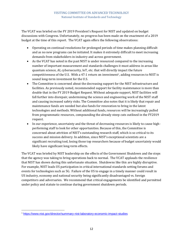The VCAT was briefed on the FY 2019 President's Request for NIST and updated on budget discussions with Congress. Unfortunately, no progress has been made on the enactment of a 2019 budget at the time of this report. The VCAT again offers the following observations:

- Operating on continual resolutions for prolonged periods of time makes planning difficult and as no new programs can be initiated. It makes it extremely difficult to meet increasing demands from stakeholders in industry and across government.
- As the VCAT has noted in the past NIST is under resourced compared to the increasing number of important measurement and standards challenges it must address in areas like quantum science, AI, cybersecurity, IoT, etc. that will directly impact the future competitiveness of the U.S. With a  $47:1$  return on investment<sup>1</sup>, adding resources to NIST is sound long-term investment for the U.S.
- The Committee is concerned about the decreasing support for the NIST infrastructure and facilities. As previously noted, recommended support for facility maintenance is more than double that in the FY 2019 Budget Request. Without adequate support, NIST facilities will fall further into disrepair, undermining the science and engineering work of the NIST staff and causing increased safety risks. The Committee also notes that it is likely that repair and maintenance funds are needed but also funds for renovation to bring in the latest technologies and methods. Without additional funds, resources will be increasingly pulled from programmatic resources, compounding the already steep cuts outlined in the FY2019 request.
- In our experience, uncertainty and the threat of decreasing resources is likely to cause highperforming staff to look for other opportunities. Because of this, the Committee is concerned about attrition of NIST's outstanding research staff, which is so critical to its success and mission delivery. In addition, since NIST's exceptional scientists are a significant recruiting tool, losing those top researchers because of budget uncertainty would likely have significant long-term effects.

The VCAT was briefed by NIST leadership on the effects of the Government Shutdown and the steps that the agency was taking to bring operations back to normal. The VCAT applauds the resilience that NIST has shown during this unfortunate situation. Shutdowns like this are highly disruptive. For example, NIST leads US participation in critical international standards setting forums and events for technologies such as 5G. Failure of the US to engage in a timely manner could result in US industry, economy and national security being significantly disadvantaged vs. foreign competitors and adversaries. We recommend that critical engagements be identified and permitted under policy and statute to continue during government shutdown periods.

 $\overline{\phantom{a}}$ 

<sup>1</sup> <https://www.nist.gov/director/summary-nist-laboratory-economic-impact-studies>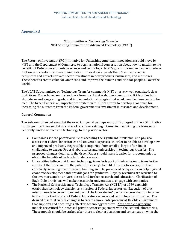### <span id="page-17-0"></span>**Appendix A**

Subcommittee on Technology Transfer NIST Visiting Committee on Advanced Technology (VCAT)

The Return on Investment (ROI) Initiative for Unleashing American Innovation is a bold move by NIST and the Department of Commerce to begin a national conversation about how to maximize the benefits of Federal investments in science and technology. NIST's goal is to remove barriers, reduce friction, and create incentives to innovation. Innovation expands the U.S. entrepreneurial ecosystem and attracts private sector investment in new products, businesses, and industries. These benefits create value for Americans and improve the human condition for people all over the world.

The VCAT Subcommittee on Technology Transfer commends NIST on a very well organized, clear draft Green Paper based on the feedback from the U.S. stakeholder community. It identifies both short-term and long-term goals, and implementation strategies that would enable these goals to be met. The Green Paper is an important contribution to NIST's efforts to develop a roadmap for increasing the outcomes from the Federal government's investment in research and development.

#### **General Comments:**

The Subcommittee believes that the overriding–and perhaps most difficult–goal of the ROI initiative is to align incentives so that all stakeholders have a strong interest in maximizing the transfer of Federally funded science and technology to the private sector.

- Companies see the potential value of accessing the significant intellectual and physical assets that Federal laboratories and universities possess in order to be able to develop new and improved products. Regrettably, companies–from small to large–often find it challenging to engage Federal laboratories and universities in technology transfer. The proposed changes detailed in the Green Paper should make it easier for the companies to obtain the benefits of Federally funded research.
- Universities believe that formal technology transfer is part of their mission to transfer the results of their research to the public for society's benefit. Universities recognize that effectively licensing inventions and building an entrepreneurial ecosystem can help regional economic development and provide jobs for graduates. Royalty revenues are returned to the inventors, and to universities to fund further research and education. Clarification of Bayh-Dole provisions will make it easier for universities to engage with companies.
- The National Competitiveness Technology Transfer Act (NCTTA) of 1989 explicitly establishes technology transfer as a mission of Federal laboratories. Execution of that mission needs to be an important part of the laboratories' performance evaluation in order to maximize the transfer of Federal laboratory science and technology to companies. The desired essential culture change is to create a more entrepreneurial, flexible environment that supports and encourages effective technology transfer. New flexible partnering models are critical for increased private sector engagement with the Federal laboratories. These models should be crafted after there is clear articulation and consensus on what the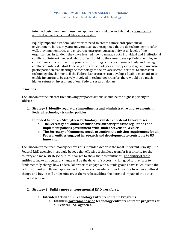intended outcomes from these new approaches should be and should be consistently adopted across the Federal laboratory system.

Equally important, Federal laboratories need to create a more entrepreneurial environment. In recent years, universities have recognized that to do technology transfer well, they must embrace and encourage entrepreneurial activity at all levels of the organization. In tandem, they have learned how to manage both individual and institutional conflicts of interest. Federal laboratories should do the same: develop Federal employee educational entrepreneurship programs, encourage entrepreneurial activity and manage conflicts of interest. Most Federally funded technologies are very early stage and inventor participation in transferring the technology to the private sector is critical to successful technology development. If the Federal Laboratories can develop a flexible mechanism to enable inventors to be actively involved in technology transfer, there would be a much higher return on investment of our Federal research dollars.

#### **Priorities:**

The Subcommittee felt that the following proposed actions should be the highest priority to address:

**1. Strategy 1. Identify regulatory impediments and administrative improvements in Federal technology transfer policies** 

**Intended Action 6 – Strengthen Technology Transfer at Federal Laboratories.**

- **a. The Secretary of Commerce must have authority to issue regulations and implement policies government-wide, under Stevenson-Wydler.**
- **b. The Secretary of Commerce needs to confirm the mission requirement for all Federal entities engaged in research and development to contribute to US innovation.**

The Subcommittee unanimously believes this Intended Action is the most important priority. The Federal R&D agencies must truly believe that effective technology transfer is a priority for the country and make strategic cultural changes to show their commitment. The ability of these entities to make this cultural change will be the driver of success. Prior, good faith efforts to fundamentally change how Federal laboratories engage with outside groups have failed due to the lack of support and flawed approaches to garner such needed support. Failure to achieve cultural change and buy-in will undermine or, at the very least, dilute the potential impact of the other Intended Actions.

- **2. Strategy 3. Build a more entrepreneurial R&D workforce.** 
	- **a. Intended Action 11 – Technology Entrepreneurship Programs.** 
		- **i. Establish government-wide technology entrepreneurship programs at all Federal R&D agencies.**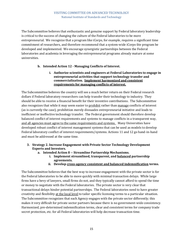The Subcommittee believes that enthusiastic and genuine support by Federal laboratory leadership is critical to the success of changing the culture of the Federal laboratories to be more entrepreneurial. We recognize that a program like iCorps, for example, requires a significant time commitment of researchers, and therefore recommend that a system-wide iCorps-lite program be developed and implemented. We encourage synergistic partnerships between the Federal laboratories and academia in leveraging the entrepreneurial programs already mature at some universities.

#### **b. Intended Action 12 - Managing Conflicts of Interest.**

**i. Authorize scientists and engineers at Federal Laboratories to engage in entrepreneurial activities that support technology transfer and commercialization. Implement harmonized and consistent requirements for managing conflicts of interest.** 

The Subcommittee believes the country will see a much better return on their Federal research dollars if Federal laboratory researchers can help transfer their technology to industry. They should be able to receive a financial benefit for their inventive contributions. The Subcommittee also recognizes that while it may seem easier to prohibit rather than manage conflicts of interest (as is currently the case), prohibition merely dissuades entrepreneurial initiative and leads to inefficient or ineffective technology transfer. The Federal government should therefore develop balanced conflict of interest requirements and systems to manage conflicts in a transparent way, and all agencies must agree to the same requirements and systems. Many Universities have developed robust conflict of interest management systems that can be used as models to develop Federal laboratory conflict of interest requirements/systems. Actions 11 and 12 go hand-in-hand and must be addressed at the same time.

- **3. Strategy 2. Increase Engagement with Private Sector Technology Development Experts and Investors.** 
	- **a. Intended Action 8 -- Streamline Partnership Mechanisms.** 
		- **i. Implement streamlined, transparent, and balanced partnership agreements.**
		- **ii. Develop cross-agency consistent and balanced indemnification terms.**

The Subcommittee believes that the best way to increase engagement with the private sector is for the Federal laboratories to be able to move quickly with minimal transaction delays. While large firms have a bevy of lawyers, small firms do not, and they typically cannot afford to spend the time or money to negotiate with the Federal laboratories. The private sector is very clear that transactional delays hinder potential partnerships. The Federal laboratories need to have greater creativity and flexibility at the local level to tailor specific licensing terms to a particular situation. The Subcommittee recognizes that each Agency engages with the private sector differently; this makes it very difficult for private sector partners because there is no government-wide consistency. Harmonized, pre-determined indemnification terms, clear and consistent terms for company trade secret protection, etc. for all Federal laboratories will help decrease transaction time.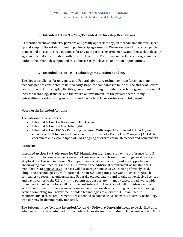#### **b. Intended Action 9 -- New/Expanded Partnership Mechanisms.**

As mentioned above, industry partners will greatly appreciate any/all mechanisms that will speed up and simplify the establishment of partnership agreements. We encourage all interested parties to meet and discuss desired outcomes for any new partnering agreements, and then seek to develop agreements that are consistent with these motivations. Too often, one party creates agreements without the other side's input and this unnecessarily delays collaboration opportunities.

#### **c. Intended Action 10 -- Technology Maturation Funding.**

The biggest challenge for university and Federal laboratory technology transfer is that many technologies are considered to be "too early stage" for companies to take on. The ability of Federal laboratories to locally deploy flexible government funding to accelerate technology maturation will increase technology transfer–and the return on investment--to the private sector. Many universities are establishing such funds and the Federal laboratories should follow suit.

#### **Noteworthy Intended Actions:**

The Subcommittee supports:

- Intended Action 1 -- Government Use license
- Intended Action 2 -- March-In Rights
- Intended Action 13-15 Reporting Systems. With respect to Intended Action 15, we encourage NIST to work with Association of University Technology Managers (AUTM) to coordinate and expand upon AUTM's ongoing efforts to establish metrics and benchmarks.

#### **Concerns:**

**Intended Action 3 – Preference for U.S. Manufacturing.** Expansion of the preference for U.S. manufacturing to nonexclusive licenses is of concern to the Subcommittee. In general, we are skeptical that this will increase U.S. competitiveness. We understand, and are supportive of, encouraging manufacturing in the U.S. However, the additional requirement of substantial U.S. manufacture to nonexclusive licenses will discourage nonexclusive licensing of widely used, ubiquitous technologies by multinational or non-U.S. companies. We want to encourage such companies to recognize university and Federally owned patents and to take nonexclusive licenses- and pay royalties to the U.S. entity--to patents as appropriate. In many cases, broad, worldwide dissemination of technology will be in the best interest of America and will provide economic growth and robust competitiveness. Some universities are already finding companies choosing to license competing, non-government funded technologies to avoid the U.S. manufacture requirements. If these requirements are extended to nonexclusive licenses, university technology transfer may be detrimentally impacted.

The Subcommittee feels that **Intended Action 4 – Software Copyright** needs to be clarified as to whether or not this is intended for the Federal laboratories only or also includes universities. Most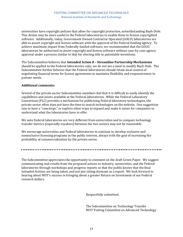universities have copyright policies that allow for copyright protection, notwithstanding Bayh-Dole. This Action may be more useful to the Federal laboratories to enable them to license copyrighted software. Additionally, today, Government Owned Contractor Operated (GOCO) laboratories are able to assert copyright and license software with the approval of the Federal funding agency. To achieve maximum impact from Federally funded software, we recommended that the GOCO laboratories be authorized to assert copyright and license software without case-by-case agency approval under a process similar to that for electing title to patentable inventions.

The Subcommittee believes that **Intended Action 8 – Streamline Partnership Mechanisms**  should be applied to the Federal laboratories only; we do not see a need to modify Bayh-Dole. The Subcommittee further believes that the Federal laboratories should retain local control of negotiating financial terms for license agreements to maximize flexibility and responsiveness to partner needs.

#### **Additional comments:**

Several of the private sector Subcommittee members feel that it is difficult to easily identify the capabilities and assets available at the Federal laboratories. While the Federal Laboratory Consortium (FLC) provides a mechanism for publicizing Federal laboratory technologies, the private sector often does not have the time to search technologies on the website. One suggestion was to have a "concierge," or explore other ways to expand and make it easier for companies to understand what the laboratories have to offer.

We note Federal laboratories are very different from universities and to compare technology transfer metrics (especially royalties) between the two sectors may not be reasonable.

We encourage universities and Federal laboratories to continue to develop exclusive and nonexclusive licensing programs in the public interest, always with the goal of increasing the probability of commercialization by the private sector.

The Subcommittee appreciates the opportunity to comment on the draft Green Paper. We suggest communicating real results from the proposed actions to industry, universities, and the Federal laboratories through workshops and progress reports so that the public knows that the final Intended Actions are being taken, and not just sitting dormant as a report. We look forward to hearing about NIST's success in bringing about a greater Return on Investment of our Federal research dollars.

Respectfully submitted,

The Subcommittee on Technology Transfer NIST Visiting Committee on Advanced Technology